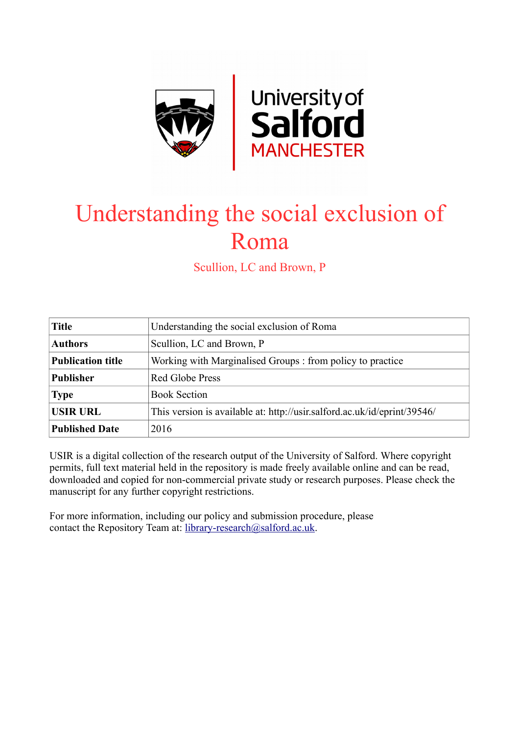

# Understanding the social exclusion of Roma

Scullion, LC and Brown, P

| <b>Title</b>             | Understanding the social exclusion of Roma                               |
|--------------------------|--------------------------------------------------------------------------|
| <b>Authors</b>           | Scullion, LC and Brown, P                                                |
| <b>Publication title</b> | Working with Marginalised Groups : from policy to practice               |
| <b>Publisher</b>         | Red Globe Press                                                          |
| <b>Type</b>              | <b>Book Section</b>                                                      |
| <b>USIR URL</b>          | This version is available at: http://usir.salford.ac.uk/id/eprint/39546/ |
| <b>Published Date</b>    | 2016                                                                     |

USIR is a digital collection of the research output of the University of Salford. Where copyright permits, full text material held in the repository is made freely available online and can be read, downloaded and copied for non-commercial private study or research purposes. Please check the manuscript for any further copyright restrictions.

For more information, including our policy and submission procedure, please contact the Repository Team at: [library-research@salford.ac.uk.](mailto:library-research@salford.ac.uk)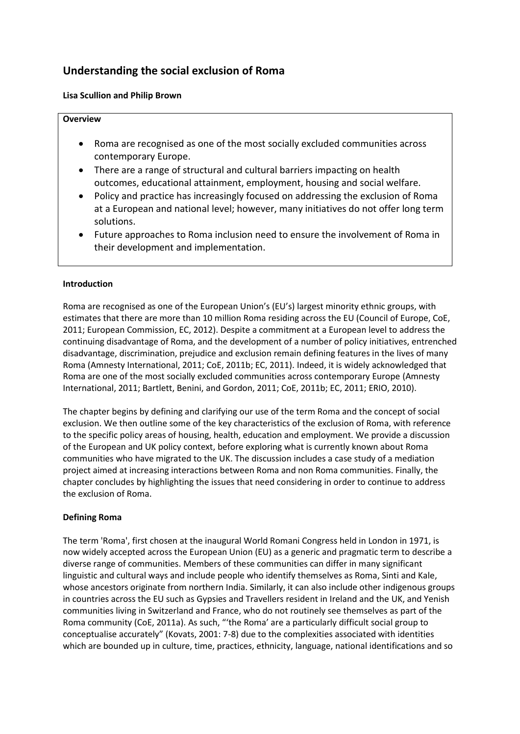# **Understanding the social exclusion of Roma**

## **Lisa Scullion and Philip Brown**

#### **Overview**

- Roma are recognised as one of the most socially excluded communities across contemporary Europe.
- There are a range of structural and cultural barriers impacting on health outcomes, educational attainment, employment, housing and social welfare.
- Policy and practice has increasingly focused on addressing the exclusion of Roma at a European and national level; however, many initiatives do not offer long term solutions.
- Future approaches to Roma inclusion need to ensure the involvement of Roma in their development and implementation.

### **Introduction**

Roma are recognised as one of the European Union's (EU's) largest minority ethnic groups, with estimates that there are more than 10 million Roma residing across the EU (Council of Europe, CoE, 2011; European Commission, EC, 2012). Despite a commitment at a European level to address the continuing disadvantage of Roma, and the development of a number of policy initiatives, entrenched disadvantage, discrimination, prejudice and exclusion remain defining features in the lives of many Roma (Amnesty International, 2011; CoE, 2011b; EC, 2011). Indeed, it is widely acknowledged that Roma are one of the most socially excluded communities across contemporary Europe (Amnesty International, 2011; Bartlett, Benini, and Gordon, 2011; CoE, 2011b; EC, 2011; ERIO, 2010).

The chapter begins by defining and clarifying our use of the term Roma and the concept of social exclusion. We then outline some of the key characteristics of the exclusion of Roma, with reference to the specific policy areas of housing, health, education and employment. We provide a discussion of the European and UK policy context, before exploring what is currently known about Roma communities who have migrated to the UK. The discussion includes a case study of a mediation project aimed at increasing interactions between Roma and non Roma communities. Finally, the chapter concludes by highlighting the issues that need considering in order to continue to address the exclusion of Roma.

# **Defining Roma**

The term 'Roma', first chosen at the inaugural World Romani Congress held in London in 1971, is now widely accepted across the European Union (EU) as a generic and pragmatic term to describe a diverse range of communities. Members of these communities can differ in many significant linguistic and cultural ways and include people who identify themselves as Roma, Sinti and Kale, whose ancestors originate from northern India. Similarly, it can also include other indigenous groups in countries across the EU such as Gypsies and Travellers resident in Ireland and the UK, and Yenish communities living in Switzerland and France, who do not routinely see themselves as part of the Roma community (CoE, 2011a). As such, "'the Roma' are a particularly difficult social group to conceptualise accurately" (Kovats, 2001: 7-8) due to the complexities associated with identities which are bounded up in culture, time, practices, ethnicity, language, national identifications and so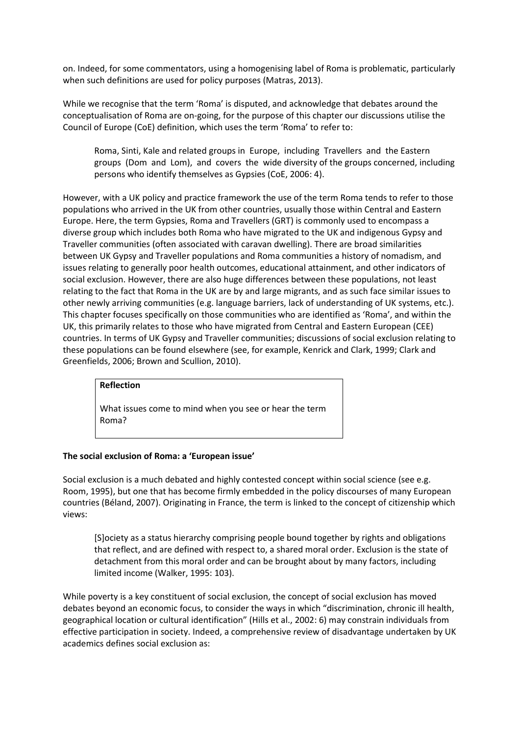on. Indeed, for some commentators, using a homogenising label of Roma is problematic, particularly when such definitions are used for policy purposes (Matras, 2013).

While we recognise that the term 'Roma' is disputed, and acknowledge that debates around the conceptualisation of Roma are on-going, for the purpose of this chapter our discussions utilise the Council of Europe (CoE) definition, which uses the term 'Roma' to refer to:

Roma, Sinti, Kale and related groups in Europe, including Travellers and the Eastern groups (Dom and Lom), and covers the wide diversity of the groups concerned, including persons who identify themselves as Gypsies (CoE, 2006: 4).

However, with a UK policy and practice framework the use of the term Roma tends to refer to those populations who arrived in the UK from other countries, usually those within Central and Eastern Europe. Here, the term Gypsies, Roma and Travellers (GRT) is commonly used to encompass a diverse group which includes both Roma who have migrated to the UK and indigenous Gypsy and Traveller communities (often associated with caravan dwelling). There are broad similarities between UK Gypsy and Traveller populations and Roma communities a history of nomadism, and issues relating to generally poor health outcomes, educational attainment, and other indicators of social exclusion. However, there are also huge differences between these populations, not least relating to the fact that Roma in the UK are by and large migrants, and as such face similar issues to other newly arriving communities (e.g. language barriers, lack of understanding of UK systems, etc.). This chapter focuses specifically on those communities who are identified as 'Roma', and within the UK, this primarily relates to those who have migrated from Central and Eastern European (CEE) countries. In terms of UK Gypsy and Traveller communities; discussions of social exclusion relating to these populations can be found elsewhere (see, for example, Kenrick and Clark, 1999; Clark and Greenfields, 2006; Brown and Scullion, 2010).

#### **Reflection**

What issues come to mind when you see or hear the term Roma?

#### **The social exclusion of Roma: a 'European issue'**

Social exclusion is a much debated and highly contested concept within social science (see e.g. Room, 1995), but one that has become firmly embedded in the policy discourses of many European countries (Béland, 2007). Originating in France, the term is linked to the concept of citizenship which views:

[S]ociety as a status hierarchy comprising people bound together by rights and obligations that reflect, and are defined with respect to, a shared moral order. Exclusion is the state of detachment from this moral order and can be brought about by many factors, including limited income (Walker, 1995: 103).

While poverty is a key constituent of social exclusion, the concept of social exclusion has moved debates beyond an economic focus, to consider the ways in which "discrimination, chronic ill health, geographical location or cultural identification" (Hills et al., 2002: 6) may constrain individuals from effective participation in society. Indeed, a comprehensive review of disadvantage undertaken by UK academics defines social exclusion as: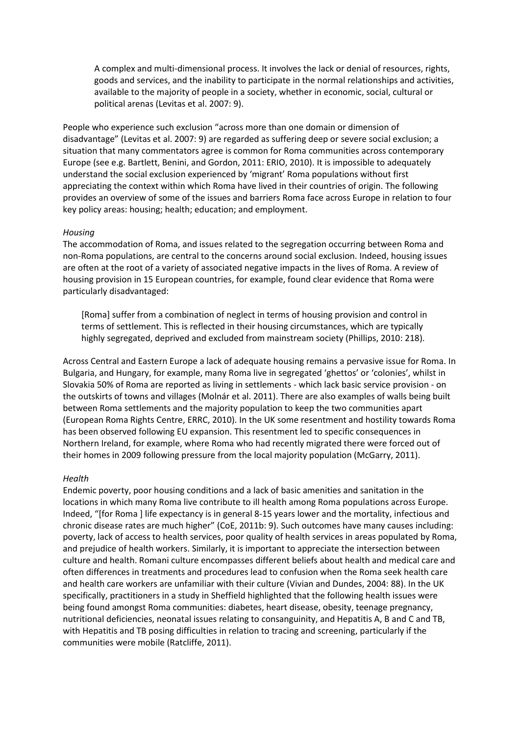A complex and multi-dimensional process. It involves the lack or denial of resources, rights, goods and services, and the inability to participate in the normal relationships and activities, available to the majority of people in a society, whether in economic, social, cultural or political arenas (Levitas et al. 2007: 9).

People who experience such exclusion "across more than one domain or dimension of disadvantage" (Levitas et al. 2007: 9) are regarded as suffering deep or severe social exclusion; a situation that many commentators agree is common for Roma communities across contemporary Europe (see e.g. Bartlett, Benini, and Gordon, 2011: ERIO, 2010). It is impossible to adequately understand the social exclusion experienced by 'migrant' Roma populations without first appreciating the context within which Roma have lived in their countries of origin. The following provides an overview of some of the issues and barriers Roma face across Europe in relation to four key policy areas: housing; health; education; and employment.

#### *Housing*

The accommodation of Roma, and issues related to the segregation occurring between Roma and non-Roma populations, are central to the concerns around social exclusion. Indeed, housing issues are often at the root of a variety of associated negative impacts in the lives of Roma. A review of housing provision in 15 European countries, for example, found clear evidence that Roma were particularly disadvantaged:

[Roma] suffer from a combination of neglect in terms of housing provision and control in terms of settlement. This is reflected in their housing circumstances, which are typically highly segregated, deprived and excluded from mainstream society (Phillips, 2010: 218).

Across Central and Eastern Europe a lack of adequate housing remains a pervasive issue for Roma. In Bulgaria, and Hungary, for example, many Roma live in segregated 'ghettos' or 'colonies', whilst in Slovakia 50% of Roma are reported as living in settlements - which lack basic service provision - on the outskirts of towns and villages (Molnár et al. 2011). There are also examples of walls being built between Roma settlements and the majority population to keep the two communities apart (European Roma Rights Centre, ERRC, 2010). In the UK some resentment and hostility towards Roma has been observed following EU expansion. This resentment led to specific consequences in Northern Ireland, for example, where Roma who had recently migrated there were forced out of their homes in 2009 following pressure from the local majority population (McGarry, 2011).

#### *Health*

Endemic poverty, poor housing conditions and a lack of basic amenities and sanitation in the locations in which many Roma live contribute to ill health among Roma populations across Europe. Indeed, "[for Roma ] life expectancy is in general 8-15 years lower and the mortality, infectious and chronic disease rates are much higher" (CoE, 2011b: 9). Such outcomes have many causes including: poverty, lack of access to health services, poor quality of health services in areas populated by Roma, and prejudice of health workers. Similarly, it is important to appreciate the intersection between culture and health. Romani culture encompasses different beliefs about health and medical care and often differences in treatments and procedures lead to confusion when the Roma seek health care and health care workers are unfamiliar with their culture (Vivian and Dundes, 2004: 88). In the UK specifically, practitioners in a study in Sheffield highlighted that the following health issues were being found amongst Roma communities: diabetes, heart disease, obesity, teenage pregnancy, nutritional deficiencies, neonatal issues relating to consanguinity, and Hepatitis A, B and C and TB, with Hepatitis and TB posing difficulties in relation to tracing and screening, particularly if the communities were mobile (Ratcliffe, 2011).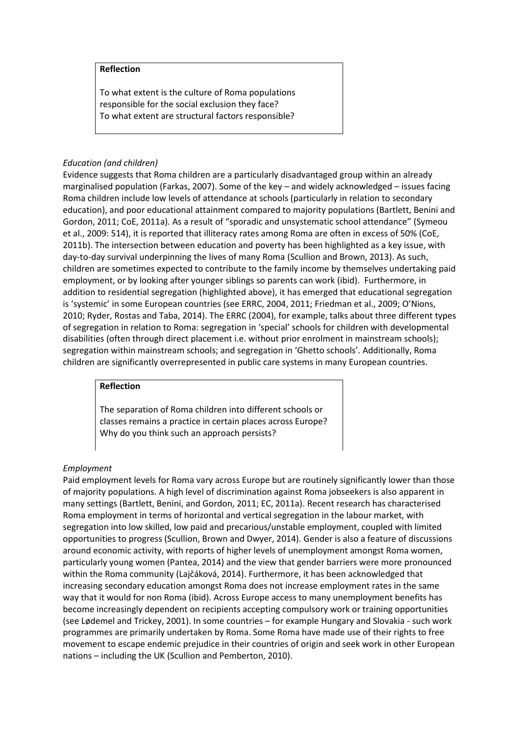#### **Reflection**

To what extent is the culture of Roma populations responsible for the social exclusion they face? To what extent are structural factors responsible?

#### *Education (and children)*

Evidence suggests that Roma children are a particularly disadvantaged group within an already marginalised population (Farkas, 2007). Some of the key – and widely acknowledged – issues facing Roma children include low levels of attendance at schools (particularly in relation to secondary education), and poor educational attainment compared to majority populations (Bartlett, Benini and Gordon, 2011; CoE, 2011a). As a result of "sporadic and unsystematic school attendance" (Symeou et al., 2009: 514), it is reported that illiteracy rates among Roma are often in excess of 50% (CoE, 2011b). The intersection between education and poverty has been highlighted as a key issue, with day-to-day survival underpinning the lives of many Roma (Scullion and Brown, 2013). As such, children are sometimes expected to contribute to the family income by themselves undertaking paid employment, or by looking after younger siblings so parents can work (ibid). Furthermore, in addition to residential segregation (highlighted above), it has emerged that educational segregation is 'systemic' in some European countries (see ERRC, 2004, 2011; Friedman et al., 2009; O'Nions, 2010; Ryder, Rostas and Taba, 2014). The ERRC (2004), for example, talks about three different types of segregation in relation to Roma: segregation in 'special' schools for children with developmental disabilities (often through direct placement i.e. without prior enrolment in mainstream schools); segregation within mainstream schools; and segregation in 'Ghetto schools'. Additionally, Roma children are significantly overrepresented in public care systems in many European countries.

#### **Reflection**

The separation of Roma children into different schools or classes remains a practice in certain places across Europe? Why do you think such an approach persists?

#### *Employment*

Paid employment levels for Roma vary across Europe but are routinely significantly lower than those of majority populations. A high level of discrimination against Roma jobseekers is also apparent in many settings (Bartlett, Benini, and Gordon, 2011; EC, 2011a). Recent research has characterised Roma employment in terms of horizontal and vertical segregation in the labour market, with segregation into low skilled, low paid and precarious/unstable employment, coupled with limited opportunities to progress (Scullion, Brown and Dwyer, 2014). Gender is also a feature of discussions around economic activity, with reports of higher levels of unemployment amongst Roma women, particularly young women (Pantea, 2014) and the view that gender barriers were more pronounced within the Roma community (Lajčáková, 2014). Furthermore, it has been acknowledged that increasing secondary education amongst Roma does not increase employment rates in the same way that it would for non Roma (ibid). Across Europe access to many unemployment benefits has become increasingly dependent on recipients accepting compulsory work or training opportunities (see Lødemel and Trickey, 2001). In some countries – for example Hungary and Slovakia - such work programmes are primarily undertaken by Roma. Some Roma have made use of their rights to free movement to escape endemic prejudice in their countries of origin and seek work in other European nations – including the UK (Scullion and Pemberton, 2010).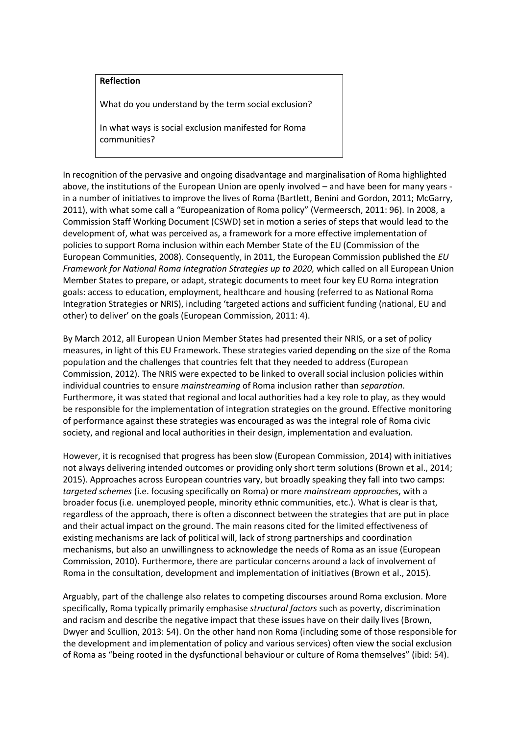# **Reflection**

What do you understand by the term social exclusion?

In what ways is social exclusion manifested for Roma communities?

In recognition of the pervasive and ongoing disadvantage and marginalisation of Roma highlighted above, the institutions of the European Union are openly involved – and have been for many years in a number of initiatives to improve the lives of Roma (Bartlett, Benini and Gordon, 2011; McGarry, 2011), with what some call a "Europeanization of Roma policy" (Vermeersch, 2011: 96). In 2008, a Commission Staff Working Document (CSWD) set in motion a series of steps that would lead to the development of, what was perceived as, a framework for a more effective implementation of policies to support Roma inclusion within each Member State of the EU (Commission of the European Communities, 2008). Consequently, in 2011, the European Commission published the *EU Framework for National Roma Integration Strategies up to 2020,* which called on all European Union Member States to prepare, or adapt, strategic documents to meet four key EU Roma integration goals: access to education, employment, healthcare and housing (referred to as National Roma Integration Strategies or NRIS), including 'targeted actions and sufficient funding (national, EU and other) to deliver' on the goals (European Commission, 2011: 4).

By March 2012, all European Union Member States had presented their NRIS, or a set of policy measures, in light of this EU Framework. These strategies varied depending on the size of the Roma population and the challenges that countries felt that they needed to address (European Commission, 2012). The NRIS were expected to be linked to overall social inclusion policies within individual countries to ensure *mainstreaming* of Roma inclusion rather than *separation*. Furthermore, it was stated that regional and local authorities had a key role to play, as they would be responsible for the implementation of integration strategies on the ground. Effective monitoring of performance against these strategies was encouraged as was the integral role of Roma civic society, and regional and local authorities in their design, implementation and evaluation.

However, it is recognised that progress has been slow (European Commission, 2014) with initiatives not always delivering intended outcomes or providing only short term solutions (Brown et al., 2014; 2015). Approaches across European countries vary, but broadly speaking they fall into two camps: *targeted schemes* (i.e. focusing specifically on Roma) or more *mainstream approaches*, with a broader focus (i.e. unemployed people, minority ethnic communities, etc.). What is clear is that, regardless of the approach, there is often a disconnect between the strategies that are put in place and their actual impact on the ground. The main reasons cited for the limited effectiveness of existing mechanisms are lack of political will, lack of strong partnerships and coordination mechanisms, but also an unwillingness to acknowledge the needs of Roma as an issue (European Commission, 2010). Furthermore, there are particular concerns around a lack of involvement of Roma in the consultation, development and implementation of initiatives (Brown et al., 2015).

Arguably, part of the challenge also relates to competing discourses around Roma exclusion. More specifically, Roma typically primarily emphasise *structural factors* such as poverty, discrimination and racism and describe the negative impact that these issues have on their daily lives (Brown, Dwyer and Scullion, 2013: 54). On the other hand non Roma (including some of those responsible for the development and implementation of policy and various services) often view the social exclusion of Roma as "being rooted in the dysfunctional behaviour or culture of Roma themselves" (ibid: 54).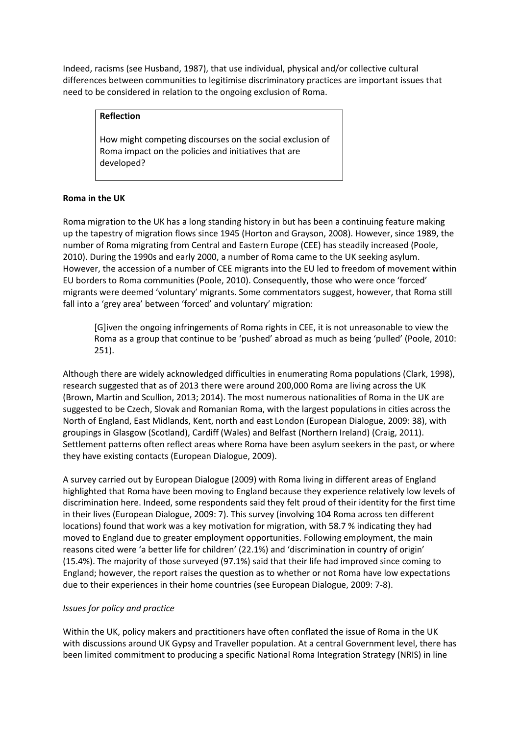Indeed, racisms (see Husband, 1987), that use individual, physical and/or collective cultural differences between communities to legitimise discriminatory practices are important issues that need to be considered in relation to the ongoing exclusion of Roma.

#### **Reflection**

How might competing discourses on the social exclusion of Roma impact on the policies and initiatives that are developed?

# **Roma in the UK**

Roma migration to the UK has a long standing history in but has been a continuing feature making up the tapestry of migration flows since 1945 (Horton and Grayson, 2008). However, since 1989, the number of Roma migrating from Central and Eastern Europe (CEE) has steadily increased (Poole, 2010). During the 1990s and early 2000, a number of Roma came to the UK seeking asylum. However, the accession of a number of CEE migrants into the EU led to freedom of movement within EU borders to Roma communities (Poole, 2010). Consequently, those who were once 'forced' migrants were deemed 'voluntary' migrants. Some commentators suggest, however, that Roma still fall into a 'grey area' between 'forced' and voluntary' migration:

[G]iven the ongoing infringements of Roma rights in CEE, it is not unreasonable to view the Roma as a group that continue to be 'pushed' abroad as much as being 'pulled' (Poole, 2010: 251).

Although there are widely acknowledged difficulties in enumerating Roma populations (Clark, 1998), research suggested that as of 2013 there were around 200,000 Roma are living across the UK (Brown, Martin and Scullion, 2013; 2014). The most numerous nationalities of Roma in the UK are suggested to be Czech, Slovak and Romanian Roma, with the largest populations in cities across the North of England, East Midlands, Kent, north and east London (European Dialogue, 2009: 38), with groupings in Glasgow (Scotland), Cardiff (Wales) and Belfast (Northern Ireland) (Craig, 2011). Settlement patterns often reflect areas where Roma have been asylum seekers in the past, or where they have existing contacts (European Dialogue, 2009).

A survey carried out by European Dialogue (2009) with Roma living in different areas of England highlighted that Roma have been moving to England because they experience relatively low levels of discrimination here. Indeed, some respondents said they felt proud of their identity for the first time in their lives (European Dialogue, 2009: 7). This survey (involving 104 Roma across ten different locations) found that work was a key motivation for migration, with 58.7 % indicating they had moved to England due to greater employment opportunities. Following employment, the main reasons cited were 'a better life for children' (22.1%) and 'discrimination in country of origin' (15.4%). The majority of those surveyed (97.1%) said that their life had improved since coming to England; however, the report raises the question as to whether or not Roma have low expectations due to their experiences in their home countries (see European Dialogue, 2009: 7-8).

# *Issues for policy and practice*

Within the UK, policy makers and practitioners have often conflated the issue of Roma in the UK with discussions around UK Gypsy and Traveller population. At a central Government level, there has been limited commitment to producing a specific National Roma Integration Strategy (NRIS) in line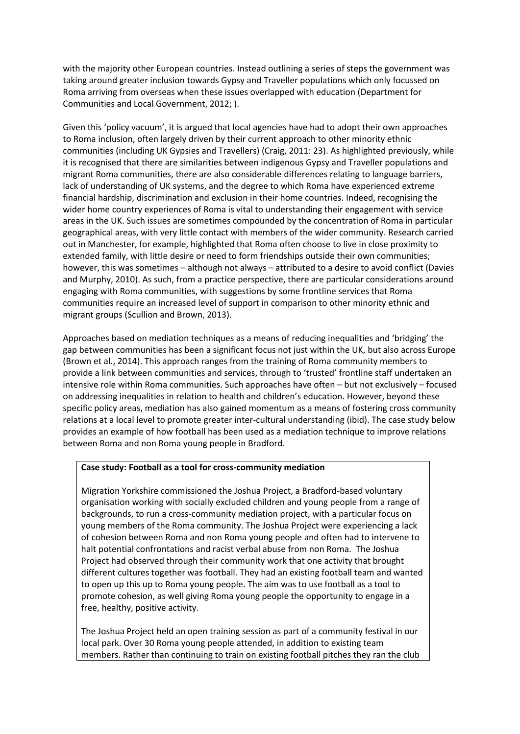with the majority other European countries. Instead outlining a series of steps the government was taking around greater inclusion towards Gypsy and Traveller populations which only focussed on Roma arriving from overseas when these issues overlapped with education (Department for Communities and Local Government, 2012; ).

Given this 'policy vacuum', it is argued that local agencies have had to adopt their own approaches to Roma inclusion, often largely driven by their current approach to other minority ethnic communities (including UK Gypsies and Travellers) (Craig, 2011: 23). As highlighted previously, while it is recognised that there are similarities between indigenous Gypsy and Traveller populations and migrant Roma communities, there are also considerable differences relating to language barriers, lack of understanding of UK systems, and the degree to which Roma have experienced extreme financial hardship, discrimination and exclusion in their home countries. Indeed, recognising the wider home country experiences of Roma is vital to understanding their engagement with service areas in the UK. Such issues are sometimes compounded by the concentration of Roma in particular geographical areas, with very little contact with members of the wider community. Research carried out in Manchester, for example, highlighted that Roma often choose to live in close proximity to extended family, with little desire or need to form friendships outside their own communities; however, this was sometimes – although not always – attributed to a desire to avoid conflict (Davies and Murphy, 2010). As such, from a practice perspective, there are particular considerations around engaging with Roma communities, with suggestions by some frontline services that Roma communities require an increased level of support in comparison to other minority ethnic and migrant groups (Scullion and Brown, 2013).

Approaches based on mediation techniques as a means of reducing inequalities and 'bridging' the gap between communities has been a significant focus not just within the UK, but also across Europe (Brown et al., 2014). This approach ranges from the training of Roma community members to provide a link between communities and services, through to 'trusted' frontline staff undertaken an intensive role within Roma communities. Such approaches have often – but not exclusively – focused on addressing inequalities in relation to health and children's education. However, beyond these specific policy areas, mediation has also gained momentum as a means of fostering cross community relations at a local level to promote greater inter-cultural understanding (ibid). The case study below provides an example of how football has been used as a mediation technique to improve relations between Roma and non Roma young people in Bradford.

#### **Case study: Football as a tool for cross-community mediation**

Migration Yorkshire commissioned the Joshua Project, a Bradford-based voluntary organisation working with socially excluded children and young people from a range of backgrounds, to run a cross-community mediation project, with a particular focus on young members of the Roma community. The Joshua Project were experiencing a lack of cohesion between Roma and non Roma young people and often had to intervene to halt potential confrontations and racist verbal abuse from non Roma. The Joshua Project had observed through their community work that one activity that brought different cultures together was football. They had an existing football team and wanted to open up this up to Roma young people. The aim was to use football as a tool to promote cohesion, as well giving Roma young people the opportunity to engage in a free, healthy, positive activity.

The Joshua Project held an open training session as part of a community festival in our local park. Over 30 Roma young people attended, in addition to existing team members. Rather than continuing to train on existing football pitches they ran the club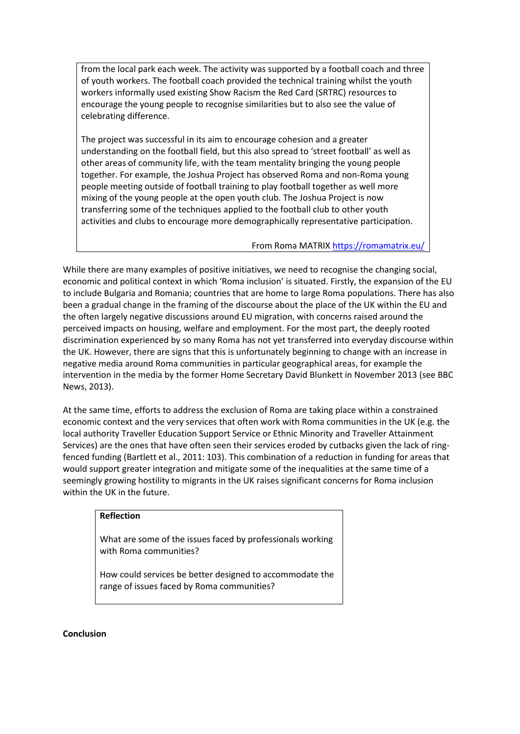from the local park each week. The activity was supported by a football coach and three of youth workers. The football coach provided the technical training whilst the youth workers informally used existing Show Racism the Red Card (SRTRC) resources to encourage the young people to recognise similarities but to also see the value of celebrating difference.

The project was successful in its aim to encourage cohesion and a greater understanding on the football field, but this also spread to 'street football' as well as other areas of community life, with the team mentality bringing the young people together. For example, the Joshua Project has observed Roma and non-Roma young people meeting outside of football training to play football together as well more mixing of the young people at the open youth club. The Joshua Project is now transferring some of the techniques applied to the football club to other youth activities and clubs to encourage more demographically representative participation.

From Roma MATRI[X https://romamatrix.eu/](https://romamatrix.eu/)

While there are many examples of positive initiatives, we need to recognise the changing social, economic and political context in which 'Roma inclusion' is situated. Firstly, the expansion of the EU to include Bulgaria and Romania; countries that are home to large Roma populations. There has also been a gradual change in the framing of the discourse about the place of the UK within the EU and the often largely negative discussions around EU migration, with concerns raised around the perceived impacts on housing, welfare and employment. For the most part, the deeply rooted discrimination experienced by so many Roma has not yet transferred into everyday discourse within the UK. However, there are signs that this is unfortunately beginning to change with an increase in negative media around Roma communities in particular geographical areas, for example the intervention in the media by the former Home Secretary David Blunkett in November 2013 (see BBC News, 2013).

At the same time, efforts to address the exclusion of Roma are taking place within a constrained economic context and the very services that often work with Roma communities in the UK (e.g. the local authority Traveller Education Support Service or Ethnic Minority and Traveller Attainment Services) are the ones that have often seen their services eroded by cutbacks given the lack of ringfenced funding (Bartlett et al., 2011: 103). This combination of a reduction in funding for areas that would support greater integration and mitigate some of the inequalities at the same time of a seemingly growing hostility to migrants in the UK raises significant concerns for Roma inclusion within the UK in the future.

#### **Reflection**

What are some of the issues faced by professionals working with Roma communities?

How could services be better designed to accommodate the range of issues faced by Roma communities?

#### **Conclusion**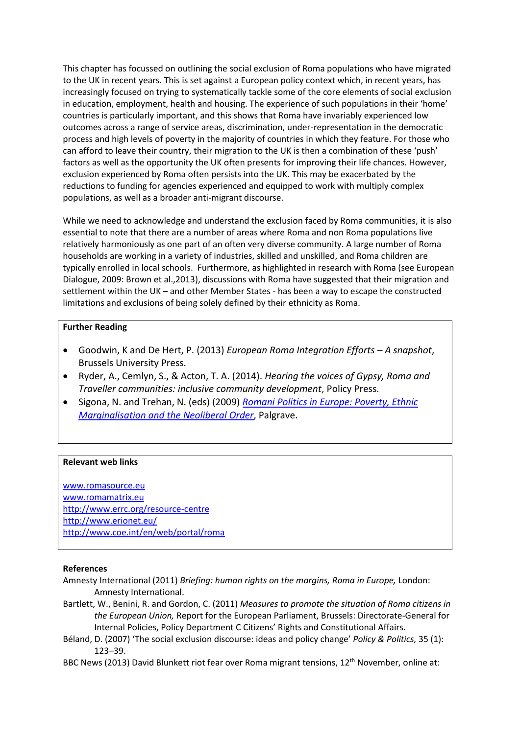This chapter has focussed on outlining the social exclusion of Roma populations who have migrated to the UK in recent years. This is set against a European policy context which, in recent years, has increasingly focused on trying to systematically tackle some of the core elements of social exclusion in education, employment, health and housing. The experience of such populations in their 'home' countries is particularly important, and this shows that Roma have invariably experienced low outcomes across a range of service areas, discrimination, under-representation in the democratic process and high levels of poverty in the majority of countries in which they feature. For those who can afford to leave their country, their migration to the UK is then a combination of these 'push' factors as well as the opportunity the UK often presents for improving their life chances. However, exclusion experienced by Roma often persists into the UK. This may be exacerbated by the reductions to funding for agencies experienced and equipped to work with multiply complex populations, as well as a broader anti-migrant discourse.

While we need to acknowledge and understand the exclusion faced by Roma communities, it is also essential to note that there are a number of areas where Roma and non Roma populations live relatively harmoniously as one part of an often very diverse community. A large number of Roma households are working in a variety of industries, skilled and unskilled, and Roma children are typically enrolled in local schools. Furthermore, as highlighted in research with Roma (see European Dialogue, 2009: Brown et al.,2013), discussions with Roma have suggested that their migration and settlement within the UK – and other Member States - has been a way to escape the constructed limitations and exclusions of being solely defined by their ethnicity as Roma.

#### **Further Reading**

- Goodwin, K and De Hert, P. (2013) *European Roma Integration Efforts – A snapshot*, Brussels University Press.
- Ryder, A., Cemlyn, S., & Acton, T. A. (2014). *Hearing the voices of Gypsy, Roma and Traveller communities: inclusive community development*, Policy Press.
- Sigona, N. and Trehan, N. (eds) (2009) *[Romani Politics in Europe: Poverty, Ethnic](http://romanipolitics.com/about/)  [Marginalisation and the Neoliberal Order](http://romanipolitics.com/about/)*, Palgrave.

#### **Relevant web links**

[www.romasource.eu](http://www.romasource.eu/) [www.romamatrix.eu](http://www.romamatrix.eu/) <http://www.errc.org/resource-centre> <http://www.erionet.eu/> <http://www.coe.int/en/web/portal/roma>

#### **References**

- Amnesty International (2011) *Briefing: human rights on the margins, Roma in Europe,* London: Amnesty International.
- Bartlett, W., Benini, R. and Gordon, C. (2011) *Measures to promote the situation of Roma citizens in the European Union,* Report for the European Parliament, Brussels: Directorate-General for Internal Policies, Policy Department C Citizens' Rights and Constitutional Affairs.
- Béland, D. (2007) 'The social exclusion discourse: ideas and policy change' *Policy & Politics,* 35 (1): 123–39.
- BBC News (2013) David Blunkett riot fear over Roma migrant tensions, 12<sup>th</sup> November, online at: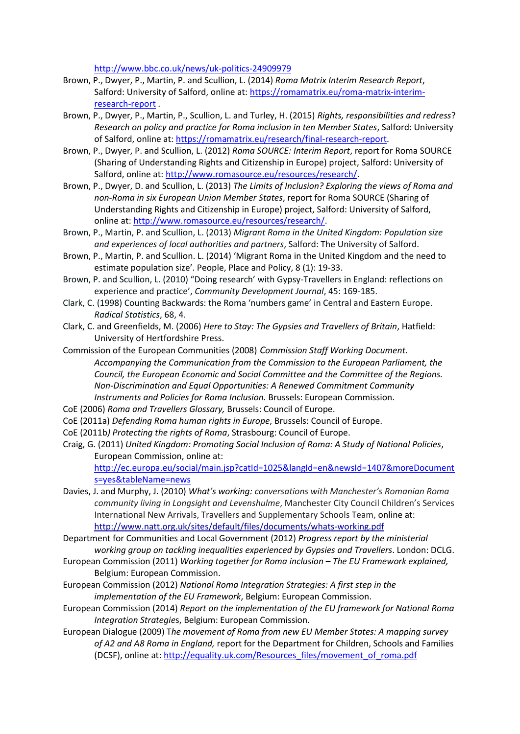<http://www.bbc.co.uk/news/uk-politics-24909979>

- Brown, P., Dwyer, P., Martin, P. and Scullion, L. (2014) *Roma Matrix Interim Research Report*, Salford: University of Salford, online at: [https://romamatrix.eu/roma-matrix-interim](https://romamatrix.eu/roma-matrix-interim-research-report)[research-report](https://romamatrix.eu/roma-matrix-interim-research-report) .
- Brown, P., Dwyer, P., Martin, P., Scullion, L. and Turley, H. (2015) *Rights, responsibilities and redress*? *Research on policy and practice for Roma inclusion in ten Member States*, Salford: University of Salford, online at: [https://romamatrix.eu/research/final-research-report.](https://romamatrix.eu/research/final-research-report)
- Brown, P., Dwyer, P. and Scullion, L. (2012) *Roma SOURCE: Interim Report*, report for Roma SOURCE (Sharing of Understanding Rights and Citizenship in Europe) project, Salford: University of Salford, online at[: http://www.romasource.eu/resources/research/.](http://www.romasource.eu/resources/research/)
- Brown, P., Dwyer, D. and Scullion, L. (2013) *The Limits of Inclusion? Exploring the views of Roma and non-Roma in six European Union Member States*, report for Roma SOURCE (Sharing of Understanding Rights and Citizenship in Europe) project, Salford: University of Salford, online at[: http://www.romasource.eu/resources/research/.](http://www.romasource.eu/resources/research/)
- Brown, P., Martin, P. and Scullion, L. (2013) *Migrant Roma in the United Kingdom: Population size and experiences of local authorities and partners*, Salford: The University of Salford.
- Brown, P., Martin, P. and Scullion. L. (2014) 'Migrant Roma in the United Kingdom and the need to estimate population size'. People, Place and Policy, 8 (1): 19-33.
- Brown, P. and Scullion, L. (2010) "Doing research' with Gypsy-Travellers in England: reflections on experience and practice', *Community Development Journal*, 45: 169-185.
- Clark, C. (1998) Counting Backwards: the Roma 'numbers game' in Central and Eastern Europe. *Radical Statistics*, 68, 4.
- Clark, C. and Greenfields, M. (2006) *Here to Stay: The Gypsies and Travellers of Britain*, Hatfield: University of Hertfordshire Press.
- Commission of the European Communities (2008) *Commission Staff Working Document. Accompanying the Communication from the Commission to the European Parliament, the Council, the European Economic and Social Committee and the Committee of the Regions. Non-Discrimination and Equal Opportunities: A Renewed Commitment Community Instruments and Policies for Roma Inclusion.* Brussels: European Commission.
- CoE (2006) *Roma and Travellers Glossary,* Brussels: Council of Europe.
- CoE (2011a) *Defending Roma human rights in Europe*, Brussels: Council of Europe.
- CoE (2011b*) Protecting the rights of Roma*, Strasbourg: Council of Europe.

Craig, G. (2011) *United Kingdom: Promoting Social Inclusion of Roma: A Study of National Policies*, European Commission, online at: [http://ec.europa.eu/social/main.jsp?catId=1025&langId=en&newsId=1407&moreDocument](http://ec.europa.eu/social/main.jsp?catId=1025&langId=en&newsId=1407&moreDocuments=yes&tableName=news)

[s=yes&tableName=news](http://ec.europa.eu/social/main.jsp?catId=1025&langId=en&newsId=1407&moreDocuments=yes&tableName=news) Davies, J. and Murphy, J. (2010) *What's working: conversations with Manchester's Romanian Roma community living in Longsight and Levenshulme*, Manchester City Council Children's Services International New Arrivals, Travellers and Supplementary Schools Team, online at: <http://www.natt.org.uk/sites/default/files/documents/whats-working.pdf>

Department for Communities and Local Government (2012) *Progress report by the ministerial working group on tackling inequalities experienced by Gypsies and Travellers*. London: DCLG.

European Commission (2011) *Working together for Roma inclusion – The EU Framework explained,*  Belgium: European Commission.

European Commission (2012) *National Roma Integration Strategies: A first step in the implementation of the EU Framework*, Belgium: European Commission.

European Commission (2014) *Report on the implementation of the EU framework for National Roma Integration Strategie*s, Belgium: European Commission.

European Dialogue (2009) T*he movement of Roma from new EU Member States: A mapping survey of A2 and A8 Roma in England,* report for the Department for Children, Schools and Families (DCSF), online at: [http://equality.uk.com/Resources\\_files/movement\\_of\\_roma.pdf](http://equality.uk.com/Resources_files/movement_of_roma.pdf)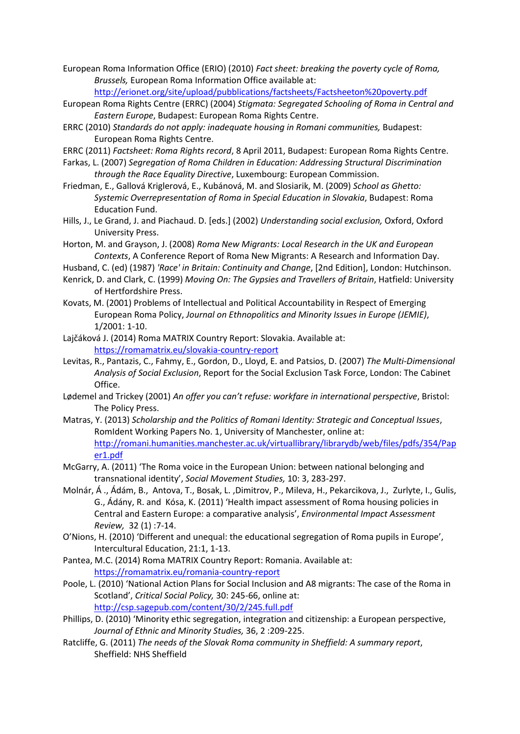European Roma Information Office (ERIO) (2010) *Fact sheet: breaking the poverty cycle of Roma, Brussels,* European Roma Information Office available at:

<http://erionet.org/site/upload/pubblications/factsheets/Factsheeton%20poverty.pdf>

- European Roma Rights Centre (ERRC) (2004) *Stigmata: Segregated Schooling of Roma in Central and Eastern Europe*, Budapest: European Roma Rights Centre.
- ERRC (2010) *Standards do not apply: inadequate housing in Romani communities,* Budapest: European Roma Rights Centre.
- ERRC (2011) *Factsheet: Roma Rights record*, 8 April 2011, Budapest: European Roma Rights Centre.
- Farkas, L. (2007) *Segregation of Roma Children in Education: Addressing Structural Discrimination through the Race Equality Directive*, Luxembourg: European Commission.
- Friedman, E., Gallová Kriglerová, E., Kubánová, M. and Slosiarik, M. (2009) *School as Ghetto: Systemic Overrepresentation of Roma in Special Education in Slovakia*, Budapest: Roma Education Fund.
- Hills, J., Le Grand, J. and Piachaud. D. [eds.] (2002) *Understanding social exclusion,* Oxford, Oxford University Press.
- Horton, M. and Grayson, J. (2008) *Roma New Migrants: Local Research in the UK and European Contexts*, A Conference Report of Roma New Migrants: A Research and Information Day.
- Husband, C. (ed) (1987) *'Race' in Britain: Continuity and Change*, [2nd Edition], London: Hutchinson.
- Kenrick, D. and Clark, C. (1999) *Moving On: The Gypsies and Travellers of Britain*, Hatfield: University of Hertfordshire Press.
- Kovats, M. (2001) Problems of Intellectual and Political Accountability in Respect of Emerging European Roma Policy, *Journal on Ethnopolitics and Minority Issues in Europe (JEMIE)*, 1/2001: 1-10.
- Lajčáková J. (2014) Roma MATRIX Country Report: Slovakia. Available at: <https://romamatrix.eu/slovakia-country-report>
- Levitas, R., Pantazis, C., Fahmy, E., Gordon, D., Lloyd, E. and Patsios, D. (2007) *The Multi-Dimensional Analysis of Social Exclusion*, Report for the Social Exclusion Task Force, London: The Cabinet Office.
- Lødemel and Trickey (2001) *An offer you can't refuse: workfare in international perspective*, Bristol: The Policy Press.
- Matras, Y. (2013) *Scholarship and the Politics of Romani Identity: Strategic and Conceptual Issues*, RomIdent Working Papers No. 1, University of Manchester, online at: [http://romani.humanities.manchester.ac.uk/virtuallibrary/librarydb/web/files/pdfs/354/Pap](http://romani.humanities.manchester.ac.uk/virtuallibrary/librarydb/web/files/pdfs/354/Paper1.pdf) [er1.pdf](http://romani.humanities.manchester.ac.uk/virtuallibrary/librarydb/web/files/pdfs/354/Paper1.pdf)
- McGarry, A. (2011) 'The Roma voice in the European Union: between national belonging and transnational identity', *Social Movement Studies,* 10: 3, 283-297.
- Molnár, Á ., Ádám, B., Antova, T., Bosak, L. ,Dimitrov, P., Mileva, H., Pekarcikova, J., Zurlyte, I., Gulis, G., Ádány, R. and Kósa, K. (2011) 'Health impact assessment of Roma housing policies in Central and Eastern Europe: a comparative analysis', *Environmental Impact Assessment Review,* 32 (1) :7-14.
- O'Nions, H. (2010) 'Different and unequal: the educational segregation of Roma pupils in Europe', Intercultural Education, 21:1, 1-13.
- Pantea, M.C. (2014) Roma MATRIX Country Report: Romania. Available at: <https://romamatrix.eu/romania-country-report>
- Poole, L. (2010) 'National Action Plans for Social Inclusion and A8 migrants: The case of the Roma in Scotland', *Critical Social Policy,* 30: 245-66, online at: <http://csp.sagepub.com/content/30/2/245.full.pdf>
- Phillips, D. (2010) 'Minority ethic segregation, integration and citizenship: a European perspective, *Journal of Ethnic and Minority Studies,* 36, 2 :209-225.
- Ratcliffe, G. (2011) *The needs of the Slovak Roma community in Sheffield: A summary report*, Sheffield: NHS Sheffield